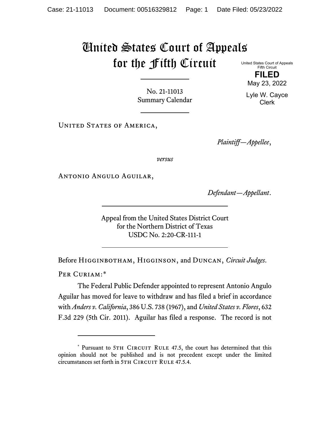## United States Court of Appeals for the Fifth Circuit United States Court of Appeals

Fifth Circuit **FILED**

No. 21-11013 Summary Calendar

UNITED STATES OF AMERICA,

*Plaintiff—Appellee*,

*versus*

Antonio Angulo Aguilar,

*Defendant—Appellant*.

Appeal from the United States District Court for the Northern District of Texas USDC No. 2:20-CR-111-1

Before Higginbotham, Higginson, and Duncan, *Circuit Judges*.

PER CURIAM:[\\*](#page-0-0)

<span id="page-0-1"></span>The Federal Public Defender appointed to represent Antonio Angulo Aguilar has moved for leave to withdraw and has filed a brief in accordance with *Anders v. California*, 386 U.S. 738 (1967), and *United States v. Flores*, 632 F.3d 229 (5th Cir. 2011). Aguilar has filed a response. The record is not

May 23, 2022 Lyle W. Cayce Clerk

<span id="page-0-0"></span><sup>\*</sup> Pursuant to 5TH CIRCUIT RULE 47.5, the court has determined that this opinion should not be published and is not precedent except under the limited circumstances set forth in 5TH CIRCUIT RULE 47.5.4.